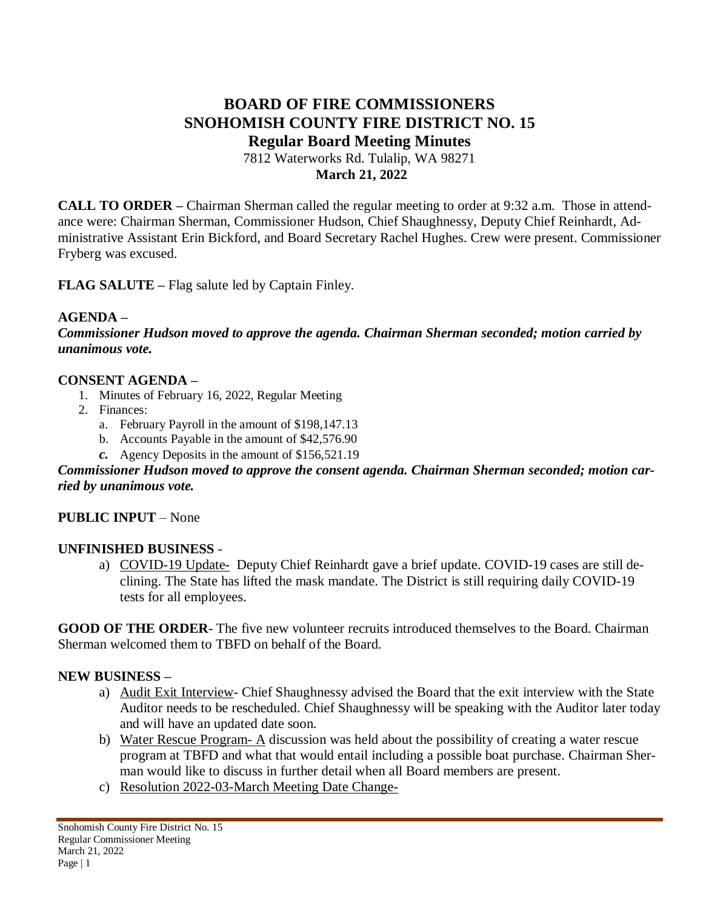# **BOARD OF FIRE COMMISSIONERS SNOHOMISH COUNTY FIRE DISTRICT NO. 15 Regular Board Meeting Minutes** 7812 Waterworks Rd. Tulalip, WA 98271

## **March 21, 2022**

**CALL TO ORDER –** Chairman Sherman called the regular meeting to order at 9:32 a.m. Those in attendance were: Chairman Sherman, Commissioner Hudson, Chief Shaughnessy, Deputy Chief Reinhardt, Administrative Assistant Erin Bickford, and Board Secretary Rachel Hughes. Crew were present. Commissioner Fryberg was excused.

**FLAG SALUTE –** Flag salute led by Captain Finley.

## **AGENDA –**

*Commissioner Hudson moved to approve the agenda. Chairman Sherman seconded; motion carried by unanimous vote.*

## **CONSENT AGENDA –**

- 1. Minutes of February 16, 2022, Regular Meeting
- 2. Finances:
	- a. February Payroll in the amount of \$198,147.13
	- b. Accounts Payable in the amount of \$42,576.90
	- *c.* Agency Deposits in the amount of \$156,521.19

## *Commissioner Hudson moved to approve the consent agenda. Chairman Sherman seconded; motion carried by unanimous vote.*

# **PUBLIC INPUT** – None

#### **UNFINISHED BUSINESS** -

a) COVID-19 Update- Deputy Chief Reinhardt gave a brief update. COVID-19 cases are still declining. The State has lifted the mask mandate. The District is still requiring daily COVID-19 tests for all employees.

**GOOD OF THE ORDER**- The five new volunteer recruits introduced themselves to the Board. Chairman Sherman welcomed them to TBFD on behalf of the Board.

#### **NEW BUSINESS –**

- a) Audit Exit Interview- Chief Shaughnessy advised the Board that the exit interview with the State Auditor needs to be rescheduled. Chief Shaughnessy will be speaking with the Auditor later today and will have an updated date soon.
- b) Water Rescue Program- A discussion was held about the possibility of creating a water rescue program at TBFD and what that would entail including a possible boat purchase. Chairman Sherman would like to discuss in further detail when all Board members are present.
- c) Resolution 2022-03-March Meeting Date Change-